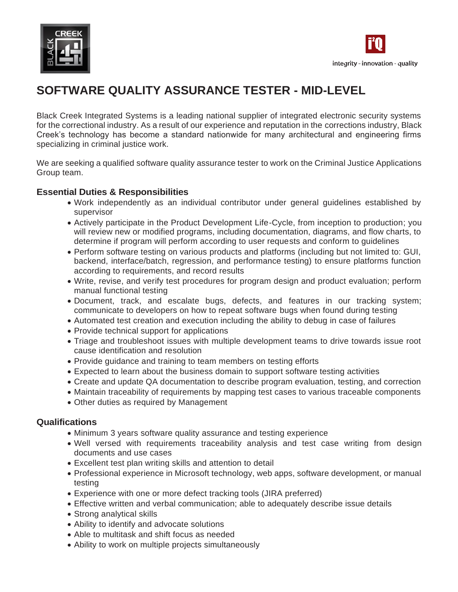



# **SOFTWARE QUALITY ASSURANCE TESTER - MID-LEVEL**

Black Creek Integrated Systems is a leading national supplier of integrated electronic security systems for the correctional industry. As a result of our experience and reputation in the corrections industry, Black Creek's technology has become a standard nationwide for many architectural and engineering firms specializing in criminal justice work.

We are seeking a qualified software quality assurance tester to work on the Criminal Justice Applications Group team.

#### **Essential Duties & Responsibilities**

- Work independently as an individual contributor under general guidelines established by supervisor
- Actively participate in the Product Development Life-Cycle, from inception to production; you will review new or modified programs, including documentation, diagrams, and flow charts, to determine if program will perform according to user requests and conform to guidelines
- Perform software testing on various products and platforms (including but not limited to: GUI, backend, interface/batch, regression, and performance testing) to ensure platforms function according to requirements, and record results
- Write, revise, and verify test procedures for program design and product evaluation; perform manual functional testing
- Document, track, and escalate bugs, defects, and features in our tracking system; communicate to developers on how to repeat software bugs when found during testing
- Automated test creation and execution including the ability to debug in case of failures
- Provide technical support for applications
- Triage and troubleshoot issues with multiple development teams to drive towards issue root cause identification and resolution
- Provide guidance and training to team members on testing efforts
- Expected to learn about the business domain to support software testing activities
- Create and update QA documentation to describe program evaluation, testing, and correction
- Maintain traceability of requirements by mapping test cases to various traceable components
- Other duties as required by Management

#### **Qualifications**

- Minimum 3 years software quality assurance and testing experience
- Well versed with requirements traceability analysis and test case writing from design documents and use cases
- Excellent test plan writing skills and attention to detail
- Professional experience in Microsoft technology, web apps, software development, or manual testing
- Experience with one or more defect tracking tools (JIRA preferred)
- Effective written and verbal communication; able to adequately describe issue details
- Strong analytical skills
- Ability to identify and advocate solutions
- Able to multitask and shift focus as needed
- Ability to work on multiple projects simultaneously